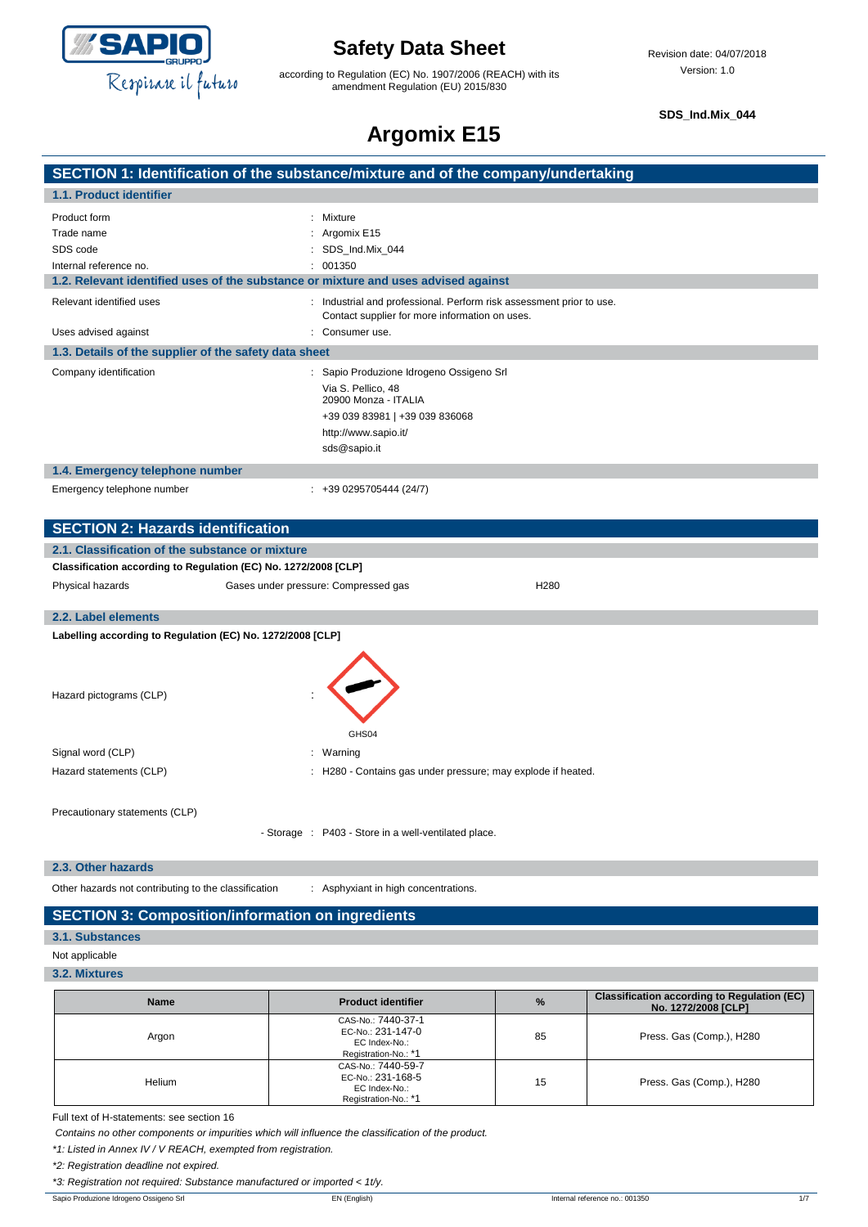

## **Safety Data Sheet**

according to Regulation (EC) No. 1907/2006 (REACH) with its amendment Regulation (EU) 2015/830

**SDS\_Ind.Mix\_044**

## **Argomix E15**

| SECTION 1: Identification of the substance/mixture and of the company/undertaking |  |
|-----------------------------------------------------------------------------------|--|
|                                                                                   |  |
| 1.1. Product identifier                                                           |  |
|                                                                                   |  |

| Product form                                                                       | : Mixture                                                                                                              |
|------------------------------------------------------------------------------------|------------------------------------------------------------------------------------------------------------------------|
| Trade name                                                                         | : Argomix $E15$                                                                                                        |
| SDS code                                                                           | : SDS Ind.Mix 044                                                                                                      |
| Internal reference no.                                                             | : 001350                                                                                                               |
| 1.2. Relevant identified uses of the substance or mixture and uses advised against |                                                                                                                        |
| Relevant identified uses                                                           | : Industrial and professional. Perform risk assessment prior to use.<br>Contact supplier for more information on uses. |
| Uses advised against                                                               | : Consumer use.                                                                                                        |
| 1.3. Details of the supplier of the safety data sheet                              |                                                                                                                        |
| Company identification                                                             | : Sapio Produzione Idrogeno Ossigeno Srl                                                                               |
|                                                                                    | Via S. Pellico, 48<br>20900 Monza - ITALIA                                                                             |
|                                                                                    | +39 039 83981   +39 039 836068                                                                                         |
|                                                                                    | http://www.sapio.it/                                                                                                   |
|                                                                                    | sds@sapio.it                                                                                                           |
| 1.4. Emergency telephone number                                                    |                                                                                                                        |
| Emergency telephone number                                                         | $: +390295705444(24/7)$                                                                                                |

| <b>SECTION 2: Hazards identification</b>                        |                                                      |                                                            |
|-----------------------------------------------------------------|------------------------------------------------------|------------------------------------------------------------|
| 2.1. Classification of the substance or mixture                 |                                                      |                                                            |
| Classification according to Regulation (EC) No. 1272/2008 [CLP] |                                                      |                                                            |
| Physical hazards                                                | Gases under pressure: Compressed gas                 | H <sub>280</sub>                                           |
| 2.2. Label elements                                             |                                                      |                                                            |
| Labelling according to Regulation (EC) No. 1272/2008 [CLP]      |                                                      |                                                            |
|                                                                 |                                                      |                                                            |
| Hazard pictograms (CLP)                                         | GHS04                                                |                                                            |
| Signal word (CLP)                                               | : Warning                                            |                                                            |
| Hazard statements (CLP)                                         |                                                      | H280 - Contains gas under pressure; may explode if heated. |
| Precautionary statements (CLP)                                  | - Storage : P403 - Store in a well-ventilated place. |                                                            |
|                                                                 |                                                      |                                                            |

**2.3. Other hazards**

Other hazards not contributing to the classification : Asphyxiant in high concentrations.

### **SECTION 3: Composition/information on ingredients**

**3.1. Substances**

Not applicable

**3.2. Mixtures**

| <b>Name</b> | <b>Product identifier</b>                                                        | $\frac{9}{6}$ | <b>Classification according to Regulation (EC)</b><br>No. 1272/2008 [CLP] |
|-------------|----------------------------------------------------------------------------------|---------------|---------------------------------------------------------------------------|
| Argon       | CAS-No.: 7440-37-1<br>EC-No.: 231-147-0<br>EC Index-No.:<br>Registration-No.: *1 | 85            | Press. Gas (Comp.), H280                                                  |
| Helium      | CAS-No.: 7440-59-7<br>EC-No.: 231-168-5<br>EC Index-No.:<br>Registration-No.: *1 | 15            | Press. Gas (Comp.), H280                                                  |

Full text of H-statements: see section 16

*Contains no other components or impurities which will influence the classification of the product.*

*\*1: Listed in Annex IV / V REACH, exempted from registration.*

*\*2: Registration deadline not expired.*

*\*3: Registration not required: Substance manufactured or imported < 1t/y.*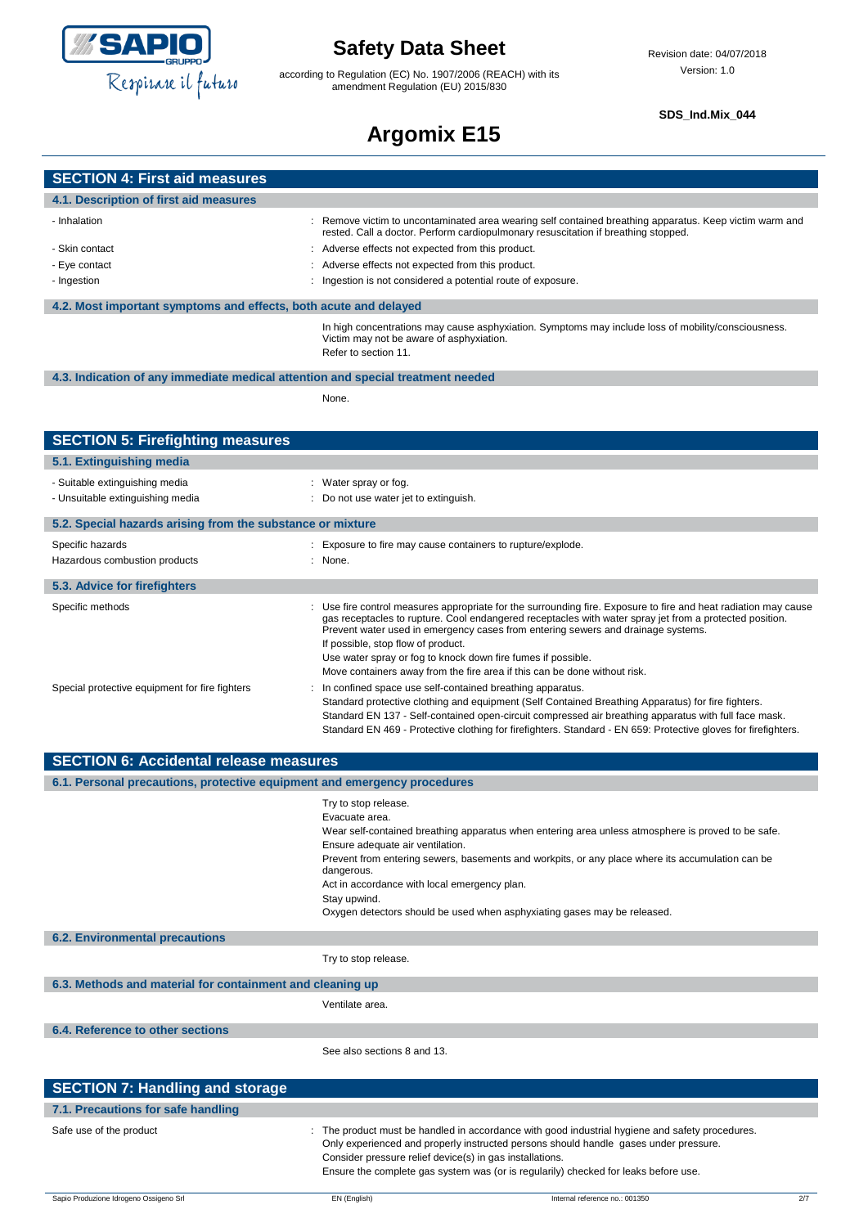

according to Regulation (EC) No. 1907/2006 (REACH) with its amendment Regulation (EU) 2015/830

#### **SDS\_Ind.Mix\_044**

# **Argomix E15**

| <b>SECTION 4: First aid measures</b>                                            |                                                                                                                                                                                                                                                                                                                                                                                                                                                                         |  |
|---------------------------------------------------------------------------------|-------------------------------------------------------------------------------------------------------------------------------------------------------------------------------------------------------------------------------------------------------------------------------------------------------------------------------------------------------------------------------------------------------------------------------------------------------------------------|--|
| 4.1. Description of first aid measures                                          |                                                                                                                                                                                                                                                                                                                                                                                                                                                                         |  |
| - Inhalation                                                                    | Remove victim to uncontaminated area wearing self contained breathing apparatus. Keep victim warm and<br>rested. Call a doctor. Perform cardiopulmonary resuscitation if breathing stopped.                                                                                                                                                                                                                                                                             |  |
| - Skin contact                                                                  | Adverse effects not expected from this product.                                                                                                                                                                                                                                                                                                                                                                                                                         |  |
| - Eye contact                                                                   | Adverse effects not expected from this product.                                                                                                                                                                                                                                                                                                                                                                                                                         |  |
| - Ingestion                                                                     | Ingestion is not considered a potential route of exposure.                                                                                                                                                                                                                                                                                                                                                                                                              |  |
| 4.2. Most important symptoms and effects, both acute and delayed                |                                                                                                                                                                                                                                                                                                                                                                                                                                                                         |  |
|                                                                                 | In high concentrations may cause asphyxiation. Symptoms may include loss of mobility/consciousness.<br>Victim may not be aware of asphyxiation.<br>Refer to section 11.                                                                                                                                                                                                                                                                                                 |  |
| 4.3. Indication of any immediate medical attention and special treatment needed |                                                                                                                                                                                                                                                                                                                                                                                                                                                                         |  |
|                                                                                 | None.                                                                                                                                                                                                                                                                                                                                                                                                                                                                   |  |
|                                                                                 |                                                                                                                                                                                                                                                                                                                                                                                                                                                                         |  |
| <b>SECTION 5: Firefighting measures</b>                                         |                                                                                                                                                                                                                                                                                                                                                                                                                                                                         |  |
| 5.1. Extinguishing media                                                        |                                                                                                                                                                                                                                                                                                                                                                                                                                                                         |  |
| - Suitable extinguishing media                                                  | : Water spray or fog.                                                                                                                                                                                                                                                                                                                                                                                                                                                   |  |
| - Unsuitable extinguishing media                                                | : Do not use water jet to extinguish.                                                                                                                                                                                                                                                                                                                                                                                                                                   |  |
| 5.2. Special hazards arising from the substance or mixture                      |                                                                                                                                                                                                                                                                                                                                                                                                                                                                         |  |
| Specific hazards                                                                | Exposure to fire may cause containers to rupture/explode.                                                                                                                                                                                                                                                                                                                                                                                                               |  |
| Hazardous combustion products                                                   | $:$ None.                                                                                                                                                                                                                                                                                                                                                                                                                                                               |  |
| 5.3. Advice for firefighters                                                    |                                                                                                                                                                                                                                                                                                                                                                                                                                                                         |  |
| Specific methods                                                                | Use fire control measures appropriate for the surrounding fire. Exposure to fire and heat radiation may cause<br>gas receptacles to rupture. Cool endangered receptacles with water spray jet from a protected position.<br>Prevent water used in emergency cases from entering sewers and drainage systems.<br>If possible, stop flow of product.<br>Use water spray or fog to knock down fire fumes if possible.                                                      |  |
| Special protective equipment for fire fighters                                  | Move containers away from the fire area if this can be done without risk.<br>In confined space use self-contained breathing apparatus.<br>Standard protective clothing and equipment (Self Contained Breathing Apparatus) for fire fighters.<br>Standard EN 137 - Self-contained open-circuit compressed air breathing apparatus with full face mask.<br>Standard EN 469 - Protective clothing for firefighters. Standard - EN 659: Protective gloves for firefighters. |  |
| <b>SECTION 6: Accidental release measures</b>                                   |                                                                                                                                                                                                                                                                                                                                                                                                                                                                         |  |
| 6.1. Personal precautions, protective equipment and emergency procedures        |                                                                                                                                                                                                                                                                                                                                                                                                                                                                         |  |
|                                                                                 | Try to stop release.<br>Evacuate area.<br>Wear self-contained breathing apparatus when entering area unless atmosphere is proved to be safe.<br>Ensure adequate air ventilation.<br>Prevent from entering sewers, basements and workpits, or any place where its accumulation can be<br>dangerous.<br>Act in accordance with local emergency plan.<br>Stay upwind.<br>Oxygen detectors should be used when asphyxiating gases may be released.                          |  |
| <b>6.2. Environmental precautions</b>                                           |                                                                                                                                                                                                                                                                                                                                                                                                                                                                         |  |
|                                                                                 | Try to stop release.                                                                                                                                                                                                                                                                                                                                                                                                                                                    |  |
| 6.3. Methods and material for containment and cleaning up                       |                                                                                                                                                                                                                                                                                                                                                                                                                                                                         |  |
|                                                                                 | Ventilate area.                                                                                                                                                                                                                                                                                                                                                                                                                                                         |  |
| 6.4. Reference to other sections                                                |                                                                                                                                                                                                                                                                                                                                                                                                                                                                         |  |
|                                                                                 | See also sections 8 and 13.                                                                                                                                                                                                                                                                                                                                                                                                                                             |  |
| <b>SECTION 7: Handling and storage</b>                                          |                                                                                                                                                                                                                                                                                                                                                                                                                                                                         |  |
| 7.1. Precautions for safe handling                                              |                                                                                                                                                                                                                                                                                                                                                                                                                                                                         |  |
| Safe use of the product                                                         | : The product must be handled in accordance with good industrial hygiene and safety procedures.<br>Only experienced and properly instructed persons should handle gases under pressure.<br>Consider pressure relief device(s) in gas installations.<br>Ensure the complete gas system was (or is regularily) checked for leaks before use.                                                                                                                              |  |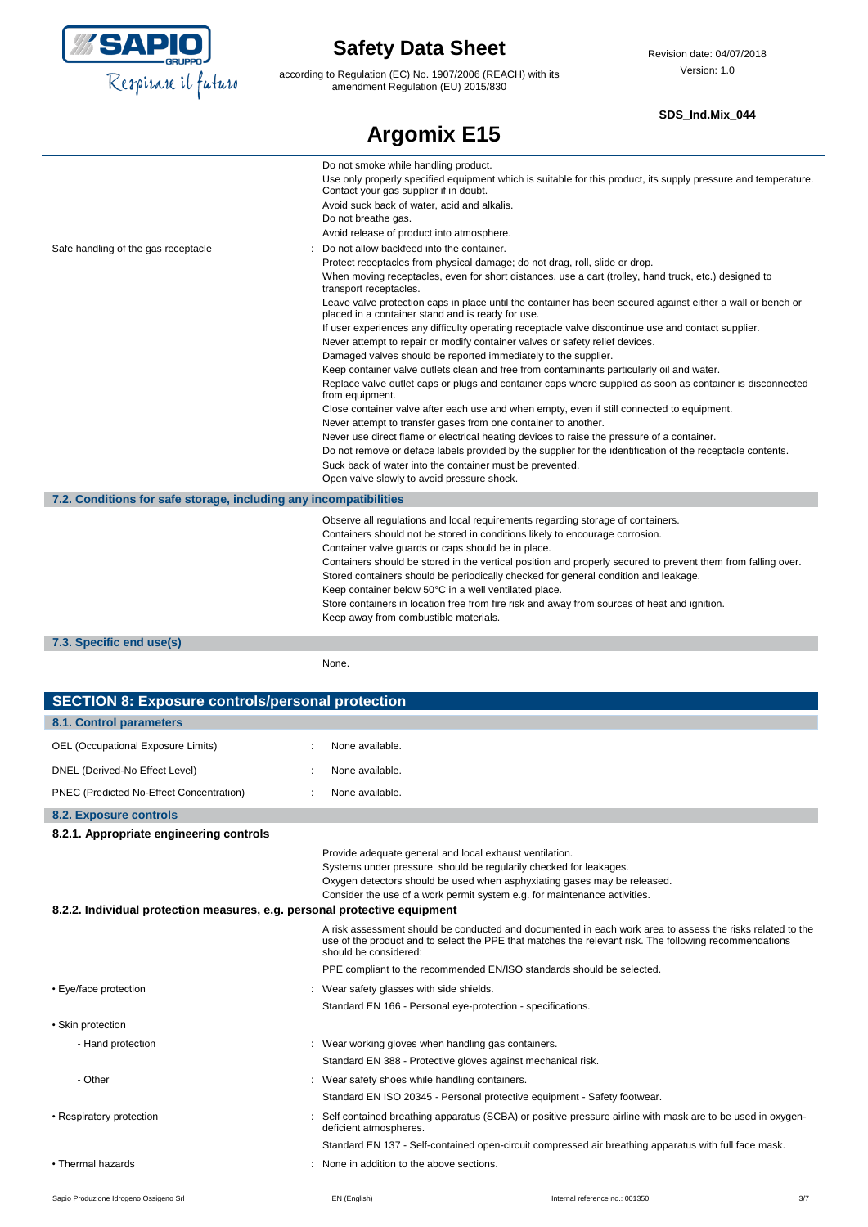

according to Regulation (EC) No. 1907/2006 (REACH) with its amendment Regulation (EU) 2015/830

#### **SDS\_Ind.Mix\_044**

|                                                                   | <b>Argomix E15</b>                                                                                                                                                                                                                                                                                                                                                                                                                                                                                                                                                                                                                                                                                                                                                                                                                                                                                                                                                                                                                                                                                                                                                                                                                                                                                                                                                                                          |
|-------------------------------------------------------------------|-------------------------------------------------------------------------------------------------------------------------------------------------------------------------------------------------------------------------------------------------------------------------------------------------------------------------------------------------------------------------------------------------------------------------------------------------------------------------------------------------------------------------------------------------------------------------------------------------------------------------------------------------------------------------------------------------------------------------------------------------------------------------------------------------------------------------------------------------------------------------------------------------------------------------------------------------------------------------------------------------------------------------------------------------------------------------------------------------------------------------------------------------------------------------------------------------------------------------------------------------------------------------------------------------------------------------------------------------------------------------------------------------------------|
|                                                                   | Do not smoke while handling product.<br>Use only properly specified equipment which is suitable for this product, its supply pressure and temperature.<br>Contact your gas supplier if in doubt.<br>Avoid suck back of water, acid and alkalis.<br>Do not breathe gas.<br>Avoid release of product into atmosphere.                                                                                                                                                                                                                                                                                                                                                                                                                                                                                                                                                                                                                                                                                                                                                                                                                                                                                                                                                                                                                                                                                         |
| Safe handling of the gas receptacle                               | Do not allow backfeed into the container.<br>Protect receptacles from physical damage; do not drag, roll, slide or drop.<br>When moving receptacles, even for short distances, use a cart (trolley, hand truck, etc.) designed to<br>transport receptacles.<br>Leave valve protection caps in place until the container has been secured against either a wall or bench or<br>placed in a container stand and is ready for use.<br>If user experiences any difficulty operating receptacle valve discontinue use and contact supplier.<br>Never attempt to repair or modify container valves or safety relief devices.<br>Damaged valves should be reported immediately to the supplier.<br>Keep container valve outlets clean and free from contaminants particularly oil and water.<br>Replace valve outlet caps or plugs and container caps where supplied as soon as container is disconnected<br>from equipment.<br>Close container valve after each use and when empty, even if still connected to equipment.<br>Never attempt to transfer gases from one container to another.<br>Never use direct flame or electrical heating devices to raise the pressure of a container.<br>Do not remove or deface labels provided by the supplier for the identification of the receptacle contents.<br>Suck back of water into the container must be prevented.<br>Open valve slowly to avoid pressure shock. |
| 7.2. Conditions for safe storage, including any incompatibilities |                                                                                                                                                                                                                                                                                                                                                                                                                                                                                                                                                                                                                                                                                                                                                                                                                                                                                                                                                                                                                                                                                                                                                                                                                                                                                                                                                                                                             |
|                                                                   | Observe all regulations and local requirements regarding storage of containers.<br>Containers should not be stored in conditions likely to encourage corrosion.<br>Container valve guards or caps should be in place.<br>Containers should be stored in the vertical position and properly secured to prevent them from falling over.<br>Stored containers should be periodically checked for general condition and leakage.<br>Keep container below 50°C in a well ventilated place.<br>Store containers in location free from fire risk and away from sources of heat and ignition.<br>Keep away from combustible materials.                                                                                                                                                                                                                                                                                                                                                                                                                                                                                                                                                                                                                                                                                                                                                                              |

### **7.3. Specific end use(s)**

None.

| <b>SECTION 8: Exposure controls/personal protection</b>                   |                                                             |                                                                                                                                                                                                                            |     |
|---------------------------------------------------------------------------|-------------------------------------------------------------|----------------------------------------------------------------------------------------------------------------------------------------------------------------------------------------------------------------------------|-----|
| 8.1. Control parameters                                                   |                                                             |                                                                                                                                                                                                                            |     |
| OEL (Occupational Exposure Limits)                                        | None available.                                             |                                                                                                                                                                                                                            |     |
| DNEL (Derived-No Effect Level)                                            | None available.                                             |                                                                                                                                                                                                                            |     |
| PNEC (Predicted No-Effect Concentration)                                  | None available.                                             |                                                                                                                                                                                                                            |     |
| 8.2. Exposure controls                                                    |                                                             |                                                                                                                                                                                                                            |     |
| 8.2.1. Appropriate engineering controls                                   |                                                             |                                                                                                                                                                                                                            |     |
| 8.2.2. Individual protection measures, e.g. personal protective equipment | Provide adequate general and local exhaust ventilation.     | Systems under pressure should be regularily checked for leakages.<br>Oxygen detectors should be used when asphyxiating gases may be released.<br>Consider the use of a work permit system e.g. for maintenance activities. |     |
|                                                                           | should be considered:                                       | A risk assessment should be conducted and documented in each work area to assess the risks related to the<br>use of the product and to select the PPE that matches the relevant risk. The following recommendations        |     |
|                                                                           |                                                             | PPE compliant to the recommended EN/ISO standards should be selected.                                                                                                                                                      |     |
| • Eye/face protection                                                     | Wear safety glasses with side shields.                      |                                                                                                                                                                                                                            |     |
|                                                                           | Standard EN 166 - Personal eye-protection - specifications. |                                                                                                                                                                                                                            |     |
| • Skin protection                                                         |                                                             |                                                                                                                                                                                                                            |     |
| - Hand protection                                                         | : Wear working gloves when handling gas containers.         |                                                                                                                                                                                                                            |     |
|                                                                           |                                                             | Standard EN 388 - Protective gloves against mechanical risk.                                                                                                                                                               |     |
| - Other                                                                   | Wear safety shoes while handling containers.                |                                                                                                                                                                                                                            |     |
|                                                                           |                                                             | Standard EN ISO 20345 - Personal protective equipment - Safety footwear.                                                                                                                                                   |     |
| • Respiratory protection                                                  | deficient atmospheres.                                      | Self contained breathing apparatus (SCBA) or positive pressure airline with mask are to be used in oxygen-                                                                                                                 |     |
|                                                                           |                                                             | Standard EN 137 - Self-contained open-circuit compressed air breathing apparatus with full face mask.                                                                                                                      |     |
| • Thermal hazards                                                         | : None in addition to the above sections.                   |                                                                                                                                                                                                                            |     |
| Sapio Produzione Idrogeno Ossigeno Srl                                    | EN (English)                                                | Internal reference no.: 001350                                                                                                                                                                                             | 3/7 |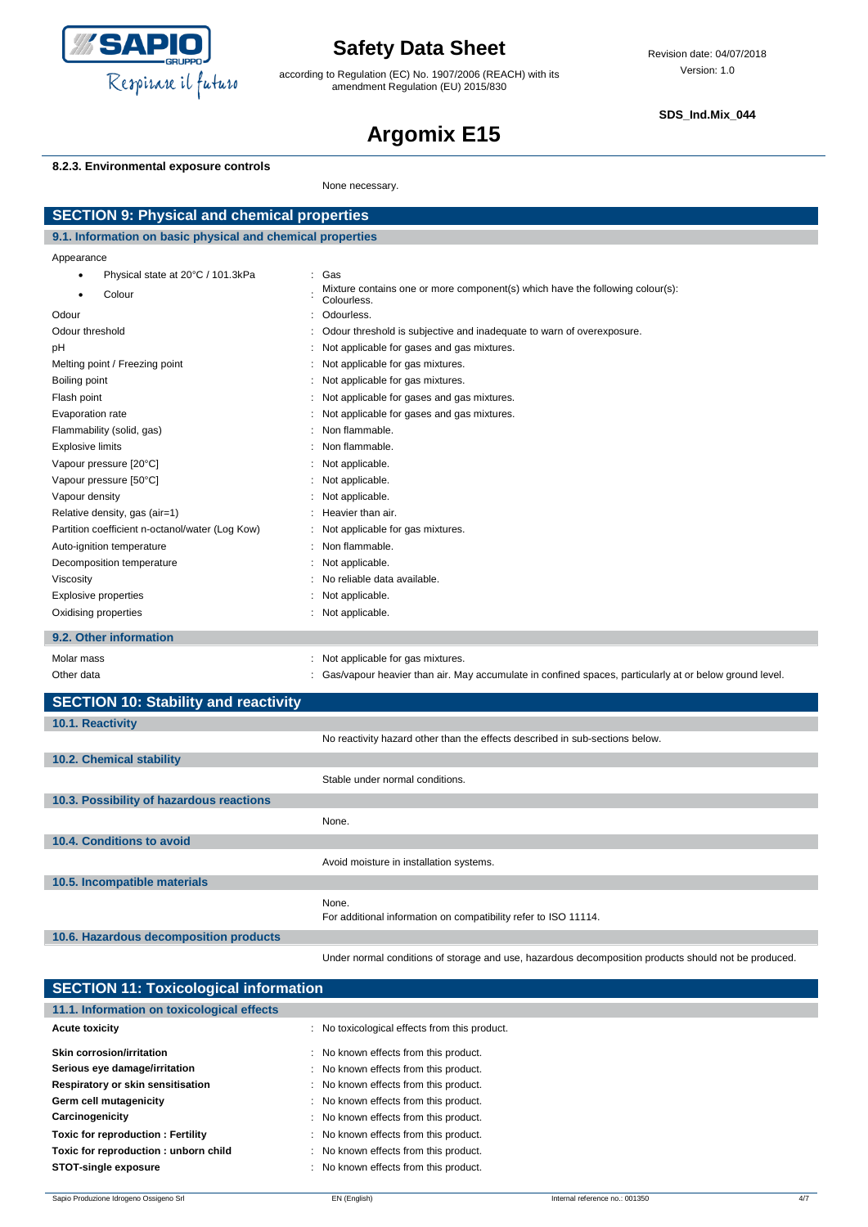

according to Regulation (EC) No. 1907/2006 (REACH) with its amendment Regulation (EU) 2015/830

**SDS\_Ind.Mix\_044**

# **Argomix E15**

### **8.2.3. Environmental exposure controls**

None necessary.

| <b>SECTION 9: Physical and chemical properties</b>         |                                                                                                        |  |
|------------------------------------------------------------|--------------------------------------------------------------------------------------------------------|--|
| 9.1. Information on basic physical and chemical properties |                                                                                                        |  |
| Appearance                                                 |                                                                                                        |  |
| Physical state at 20°C / 101.3kPa<br>$\bullet$             | : Gas                                                                                                  |  |
| Colour<br>٠                                                | Mixture contains one or more component(s) which have the following colour(s):<br>Colourless.           |  |
| Odour                                                      | Odourless.<br>$\cdot$                                                                                  |  |
| Odour threshold                                            | Odour threshold is subjective and inadequate to warn of overexposure.                                  |  |
| рH                                                         | Not applicable for gases and gas mixtures.                                                             |  |
| Melting point / Freezing point                             | Not applicable for gas mixtures.                                                                       |  |
| Boiling point                                              | Not applicable for gas mixtures.                                                                       |  |
| Flash point                                                | Not applicable for gases and gas mixtures.                                                             |  |
| Evaporation rate                                           | Not applicable for gases and gas mixtures.                                                             |  |
| Flammability (solid, gas)                                  | Non flammable.                                                                                         |  |
| <b>Explosive limits</b>                                    | Non flammable.                                                                                         |  |
| Vapour pressure [20°C]                                     | Not applicable.                                                                                        |  |
| Vapour pressure [50°C]                                     | Not applicable.                                                                                        |  |
| Vapour density                                             | Not applicable.                                                                                        |  |
| Relative density, gas (air=1)                              | Heavier than air.                                                                                      |  |
| Partition coefficient n-octanol/water (Log Kow)            | Not applicable for gas mixtures.                                                                       |  |
| Auto-ignition temperature                                  | Non flammable.                                                                                         |  |
| Decomposition temperature                                  | Not applicable.                                                                                        |  |
| Viscosity                                                  | No reliable data available.                                                                            |  |
| <b>Explosive properties</b>                                | Not applicable.                                                                                        |  |
| Oxidising properties                                       | : Not applicable.                                                                                      |  |
| 9.2. Other information                                     |                                                                                                        |  |
| Molar mass                                                 | : Not applicable for gas mixtures.                                                                     |  |
| Other data                                                 | Gas/vapour heavier than air. May accumulate in confined spaces, particularly at or below ground level. |  |
| <b>SECTION 10: Stability and reactivity</b>                |                                                                                                        |  |
| 10.1. Reactivity                                           |                                                                                                        |  |
|                                                            | No reactivity hazard other than the effects described in sub-sections below.                           |  |
| 10.2. Chemical stability                                   |                                                                                                        |  |
|                                                            | Stable under normal conditions.                                                                        |  |
| 10.3. Possibility of hazardous reactions                   |                                                                                                        |  |
|                                                            | None.                                                                                                  |  |
| 10.4. Conditions to avoid                                  |                                                                                                        |  |
|                                                            | Avoid moisture in installation systems.                                                                |  |
| 10.5. Incompatible materials                               |                                                                                                        |  |
|                                                            | None.                                                                                                  |  |
|                                                            | For additional information on compatibility refer to ISO 11114.                                        |  |
| 10.6. Hazardous decomposition products                     |                                                                                                        |  |
|                                                            | Under normal conditions of storage and use, hazardous decomposition products should not be produced.   |  |

| <b>SECTION 11: Toxicological information</b> |                                               |  |
|----------------------------------------------|-----------------------------------------------|--|
| 11.1. Information on toxicological effects   |                                               |  |
| <b>Acute toxicity</b>                        | : No toxicological effects from this product. |  |
| Skin corrosion/irritation                    | : No known effects from this product.         |  |
| Serious eye damage/irritation                | : No known effects from this product.         |  |
| Respiratory or skin sensitisation            | : No known effects from this product.         |  |
| Germ cell mutagenicity                       | : No known effects from this product.         |  |
| Carcinogenicity                              | : No known effects from this product.         |  |
| <b>Toxic for reproduction: Fertility</b>     | : No known effects from this product.         |  |
| Toxic for reproduction: unborn child         | : No known effects from this product.         |  |
| <b>STOT-single exposure</b>                  | : No known effects from this product.         |  |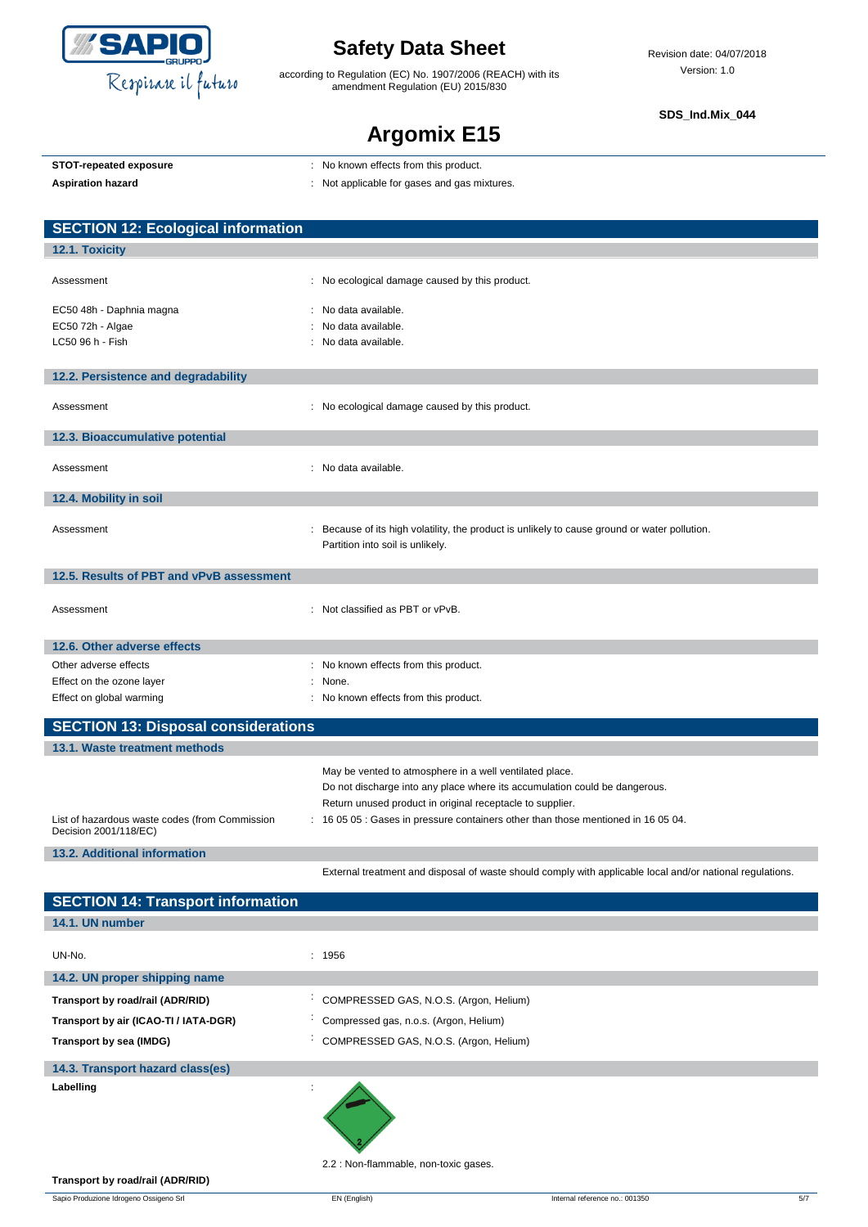

according to Regulation (EC) No. 1907/2006 (REACH) with its amendment Regulation (EU) 2015/830

**SDS\_Ind.Mix\_044**

## **Argomix E15**

|  | STOT-repeated exposure |  |
|--|------------------------|--|
|  |                        |  |

**STOT-repeated exposure** : No known effects from this product.

Aspiration hazard<br> **Aspiration hazard in the set of the set of the set of the set of the set of the set of the set of the set of the set of the set of the set of the set of the set of the set of the set of the set of the** 

| <b>SECTION 12: Ecological information</b>                               |                                                                                                                                   |
|-------------------------------------------------------------------------|-----------------------------------------------------------------------------------------------------------------------------------|
| 12.1. Toxicity                                                          |                                                                                                                                   |
| Assessment                                                              | : No ecological damage caused by this product.                                                                                    |
| EC50 48h - Daphnia magna                                                | No data available.                                                                                                                |
| EC50 72h - Algae                                                        | No data available.                                                                                                                |
| LC50 96 h - Fish                                                        | : No data available.                                                                                                              |
| 12.2. Persistence and degradability                                     |                                                                                                                                   |
| Assessment                                                              | : No ecological damage caused by this product.                                                                                    |
| 12.3. Bioaccumulative potential                                         |                                                                                                                                   |
| Assessment                                                              | : No data available.                                                                                                              |
| 12.4. Mobility in soil                                                  |                                                                                                                                   |
| Assessment                                                              | : Because of its high volatility, the product is unlikely to cause ground or water pollution.<br>Partition into soil is unlikely. |
| 12.5. Results of PBT and vPvB assessment                                |                                                                                                                                   |
| Assessment                                                              | : Not classified as PBT or vPvB.                                                                                                  |
| 12.6. Other adverse effects                                             |                                                                                                                                   |
| Other adverse effects                                                   | : No known effects from this product.                                                                                             |
| Effect on the ozone layer                                               | None.                                                                                                                             |
| Effect on global warming                                                | : No known effects from this product.                                                                                             |
| <b>SECTION 13: Disposal considerations</b>                              |                                                                                                                                   |
| 13.1. Waste treatment methods                                           |                                                                                                                                   |
|                                                                         | May be vented to atmosphere in a well ventilated place.                                                                           |
|                                                                         | Do not discharge into any place where its accumulation could be dangerous.                                                        |
|                                                                         | Return unused product in original receptacle to supplier.                                                                         |
| List of hazardous waste codes (from Commission<br>Decision 2001/118/EC) | : 16 05 05 : Gases in pressure containers other than those mentioned in 16 05 04.                                                 |
| <b>13.2. Additional information</b>                                     |                                                                                                                                   |
|                                                                         | External treatment and disposal of waste should comply with applicable local and/or national regulations.                         |

| <b>SECTION 14: Transport information</b> |                                                     |
|------------------------------------------|-----------------------------------------------------|
| 14.1. UN number                          |                                                     |
| UN-No.<br>14.2. UN proper shipping name  | : 1956                                              |
|                                          |                                                     |
| Transport by road/rail (ADR/RID)         | COMPRESSED GAS, N.O.S. (Argon, Helium)              |
| Transport by air (ICAO-TI / IATA-DGR)    | Compressed gas, n.o.s. (Argon, Helium)              |
| Transport by sea (IMDG)                  | COMPRESSED GAS, N.O.S. (Argon, Helium)<br>$\bullet$ |
| 14.3. Transport hazard class(es)         |                                                     |
| Labelling                                |                                                     |

2.2 : Non-flammable, non-toxic gases.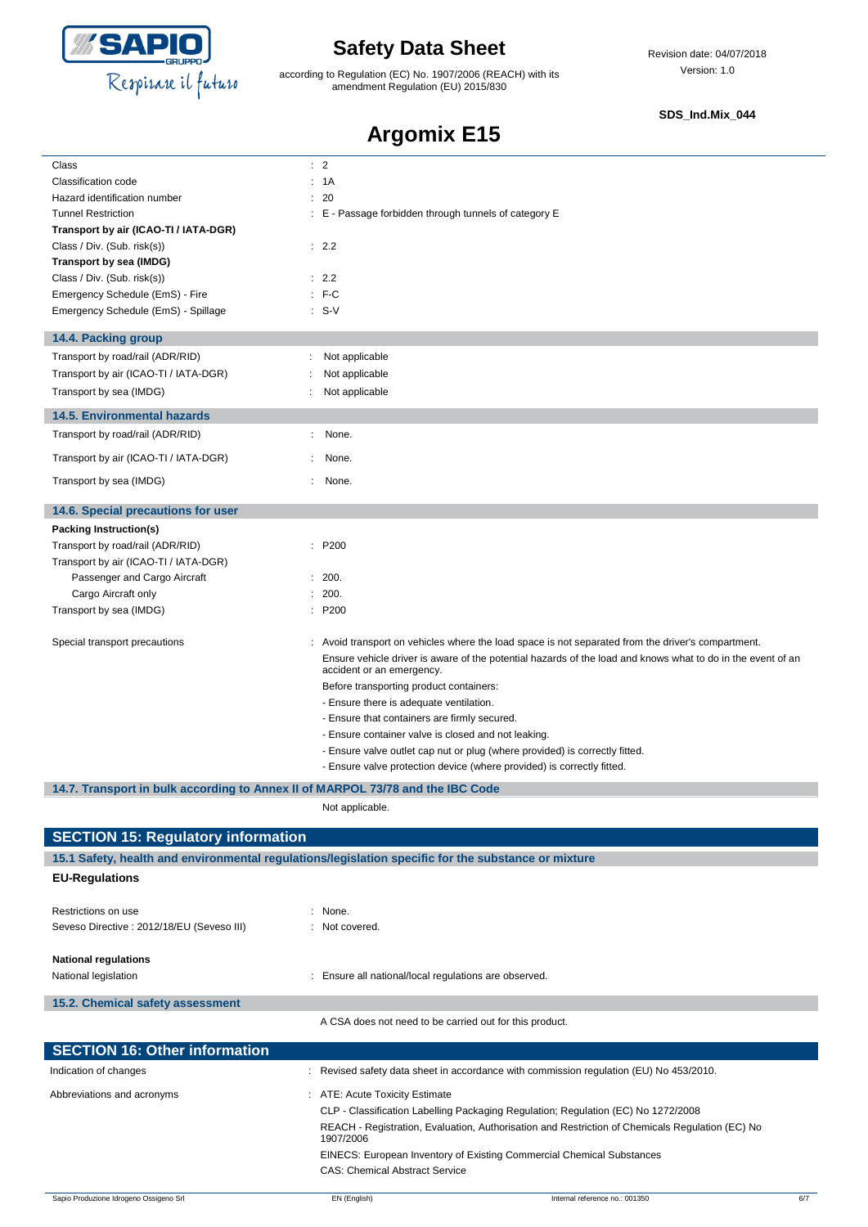

according to Regulation (EC) No. 1907/2006 (REACH) with its amendment Regulation (EU) 2015/830

#### **SDS\_Ind.Mix\_044**

# **Argomix E15**

| Class                                                                          | $\therefore$ 2                                                                                                                                                                                                    |
|--------------------------------------------------------------------------------|-------------------------------------------------------------------------------------------------------------------------------------------------------------------------------------------------------------------|
| Classification code                                                            | : 1A                                                                                                                                                                                                              |
| Hazard identification number                                                   | : 20                                                                                                                                                                                                              |
| <b>Tunnel Restriction</b>                                                      | : E - Passage forbidden through tunnels of category E                                                                                                                                                             |
| Transport by air (ICAO-TI / IATA-DGR)                                          |                                                                                                                                                                                                                   |
| Class / Div. (Sub. risk(s))                                                    | : 2.2                                                                                                                                                                                                             |
| Transport by sea (IMDG)                                                        |                                                                                                                                                                                                                   |
| Class / Div. (Sub. risk(s))                                                    | : 2.2                                                                                                                                                                                                             |
| Emergency Schedule (EmS) - Fire                                                | $: F-C$                                                                                                                                                                                                           |
| Emergency Schedule (EmS) - Spillage                                            | $: S-V$                                                                                                                                                                                                           |
|                                                                                |                                                                                                                                                                                                                   |
| 14.4. Packing group                                                            |                                                                                                                                                                                                                   |
| Transport by road/rail (ADR/RID)                                               | Not applicable                                                                                                                                                                                                    |
| Transport by air (ICAO-TI / IATA-DGR)                                          | Not applicable                                                                                                                                                                                                    |
| Transport by sea (IMDG)                                                        | Not applicable                                                                                                                                                                                                    |
|                                                                                |                                                                                                                                                                                                                   |
| <b>14.5. Environmental hazards</b>                                             |                                                                                                                                                                                                                   |
| Transport by road/rail (ADR/RID)                                               | None.<br>÷.                                                                                                                                                                                                       |
| Transport by air (ICAO-TI / IATA-DGR)                                          | None.                                                                                                                                                                                                             |
| Transport by sea (IMDG)                                                        | None.                                                                                                                                                                                                             |
|                                                                                |                                                                                                                                                                                                                   |
| 14.6. Special precautions for user                                             |                                                                                                                                                                                                                   |
| Packing Instruction(s)                                                         |                                                                                                                                                                                                                   |
| Transport by road/rail (ADR/RID)                                               | : P200                                                                                                                                                                                                            |
| Transport by air (ICAO-TI / IATA-DGR)                                          |                                                                                                                                                                                                                   |
| Passenger and Cargo Aircraft                                                   | : 200.                                                                                                                                                                                                            |
| Cargo Aircraft only                                                            | : 200.                                                                                                                                                                                                            |
| Transport by sea (IMDG)                                                        | : P200                                                                                                                                                                                                            |
|                                                                                |                                                                                                                                                                                                                   |
| Special transport precautions                                                  | : Avoid transport on vehicles where the load space is not separated from the driver's compartment.<br>Ensure vehicle driver is aware of the potential hazards of the load and knows what to do in the event of an |
|                                                                                | accident or an emergency.                                                                                                                                                                                         |
|                                                                                | Before transporting product containers:                                                                                                                                                                           |
|                                                                                | - Ensure there is adequate ventilation.                                                                                                                                                                           |
|                                                                                | - Ensure that containers are firmly secured.                                                                                                                                                                      |
|                                                                                | - Ensure container valve is closed and not leaking.                                                                                                                                                               |
|                                                                                | - Ensure valve outlet cap nut or plug (where provided) is correctly fitted.                                                                                                                                       |
|                                                                                | - Ensure valve protection device (where provided) is correctly fitted.                                                                                                                                            |
| 14.7. Transport in bulk according to Annex II of MARPOL 73/78 and the IBC Code |                                                                                                                                                                                                                   |
|                                                                                |                                                                                                                                                                                                                   |
|                                                                                | Not applicable.                                                                                                                                                                                                   |
| <b>SECTION 15: Regulatory information</b>                                      |                                                                                                                                                                                                                   |
|                                                                                | 15.1 Safety, health and environmental regulations/legislation specific for the substance or mixture                                                                                                               |
|                                                                                |                                                                                                                                                                                                                   |
| <b>EU-Regulations</b>                                                          |                                                                                                                                                                                                                   |
|                                                                                |                                                                                                                                                                                                                   |
|                                                                                |                                                                                                                                                                                                                   |
| Restrictions on use                                                            | : None.                                                                                                                                                                                                           |
| Seveso Directive : 2012/18/EU (Seveso III)                                     | : Not covered.                                                                                                                                                                                                    |
|                                                                                |                                                                                                                                                                                                                   |
| <b>National regulations</b>                                                    |                                                                                                                                                                                                                   |
| National legislation                                                           | : Ensure all national/local regulations are observed.                                                                                                                                                             |
| 15.2. Chemical safety assessment                                               |                                                                                                                                                                                                                   |
|                                                                                | A CSA does not need to be carried out for this product.                                                                                                                                                           |
|                                                                                |                                                                                                                                                                                                                   |
| <b>SECTION 16: Other information</b>                                           |                                                                                                                                                                                                                   |
| Indication of changes                                                          | Revised safety data sheet in accordance with commission regulation (EU) No 453/2010.                                                                                                                              |
| Abbreviations and acronyms                                                     | ATE: Acute Toxicity Estimate                                                                                                                                                                                      |
|                                                                                | CLP - Classification Labelling Packaging Regulation; Regulation (EC) No 1272/2008                                                                                                                                 |
|                                                                                | REACH - Registration, Evaluation, Authorisation and Restriction of Chemicals Regulation (EC) No                                                                                                                   |
|                                                                                | 1907/2006                                                                                                                                                                                                         |
|                                                                                | EINECS: European Inventory of Existing Commercial Chemical Substances<br><b>CAS: Chemical Abstract Service</b>                                                                                                    |